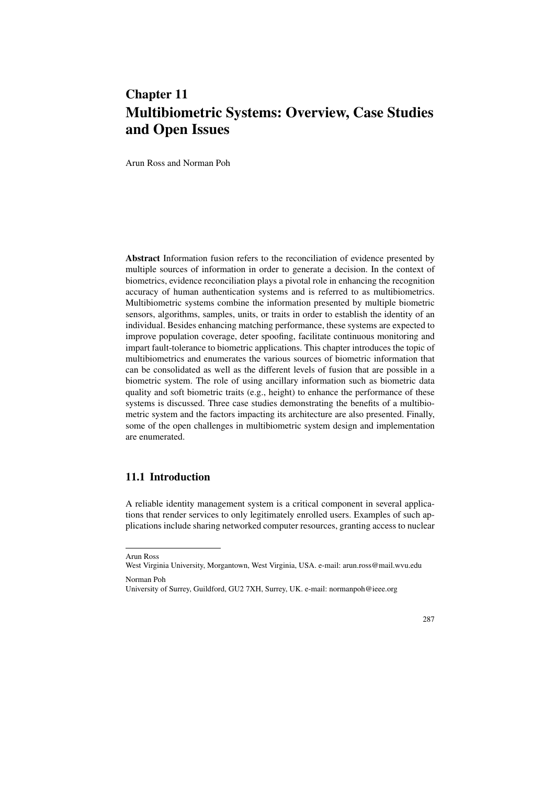# Chapter 11 Multibiometric Systems: Overview, Case Studies and Open Issues

Arun Ross and Norman Poh

Abstract Information fusion refers to the reconciliation of evidence presented by multiple sources of information in order to generate a decision. In the context of biometrics, evidence reconciliation plays a pivotal role in enhancing the recognition accuracy of human authentication systems and is referred to as multibiometrics. Multibiometric systems combine the information presented by multiple biometric sensors, algorithms, samples, units, or traits in order to establish the identity of an individual. Besides enhancing matching performance, these systems are expected to improve population coverage, deter spoofing, facilitate continuous monitoring and impart fault-tolerance to biometric applications. This chapter introduces the topic of multibiometrics and enumerates the various sources of biometric information that can be consolidated as well as the different levels of fusion that are possible in a biometric system. The role of using ancillary information such as biometric data quality and soft biometric traits (e.g., height) to enhance the performance of these systems is discussed. Three case studies demonstrating the benefits of a multibiometric system and the factors impacting its architecture are also presented. Finally, some of the open challenges in multibiometric system design and implementation are enumerated.

# 11.1 Introduction

A reliable identity management system is a critical component in several applications that render services to only legitimately enrolled users. Examples of such applications include sharing networked computer resources, granting access to nuclear

Arun Ross

West Virginia University, Morgantown, West Virginia, USA. e-mail: arun.ross@mail.wvu.edu Norman Poh

University of Surrey, Guildford, GU2 7XH, Surrey, UK. e-mail: normanpoh@ieee.org

<sup>287</sup>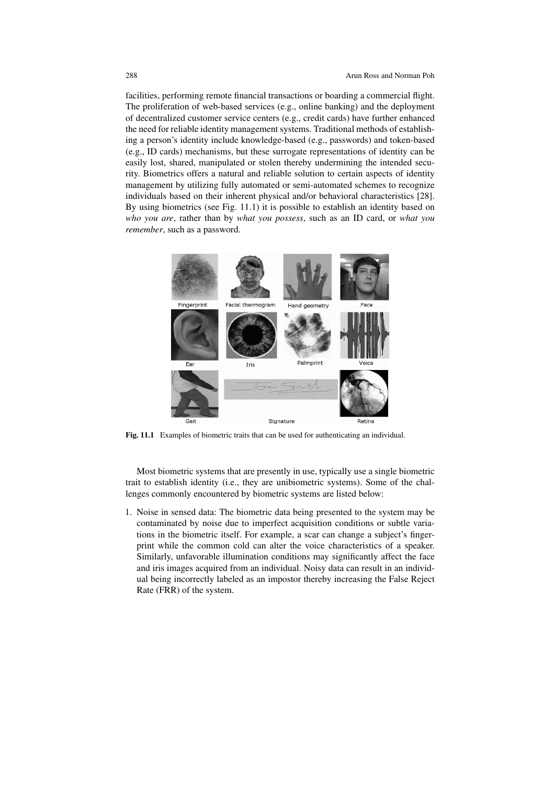facilities, performing remote financial transactions or boarding a commercial flight. The proliferation of web-based services (e.g., online banking) and the deployment of decentralized customer service centers (e.g., credit cards) have further enhanced the need for reliable identity management systems. Traditional methods of establishing a person's identity include knowledge-based (e.g., passwords) and token-based (e.g., ID cards) mechanisms, but these surrogate representations of identity can be easily lost, shared, manipulated or stolen thereby undermining the intended security. Biometrics offers a natural and reliable solution to certain aspects of identity management by utilizing fully automated or semi-automated schemes to recognize individuals based on their inherent physical and/or behavioral characteristics [28]. By using biometrics (see Fig. 11.1) it is possible to establish an identity based on *who you are*, rather than by *what you possess*, such as an ID card, or *what you remember*, such as a password.



Fig. 11.1 Examples of biometric traits that can be used for authenticating an individual.

Most biometric systems that are presently in use, typically use a single biometric trait to establish identity (i.e., they are unibiometric systems). Some of the challenges commonly encountered by biometric systems are listed below:

1. Noise in sensed data: The biometric data being presented to the system may be contaminated by noise due to imperfect acquisition conditions or subtle variations in the biometric itself. For example, a scar can change a subject's fingerprint while the common cold can alter the voice characteristics of a speaker. Similarly, unfavorable illumination conditions may significantly affect the face and iris images acquired from an individual. Noisy data can result in an individual being incorrectly labeled as an impostor thereby increasing the False Reject Rate (FRR) of the system.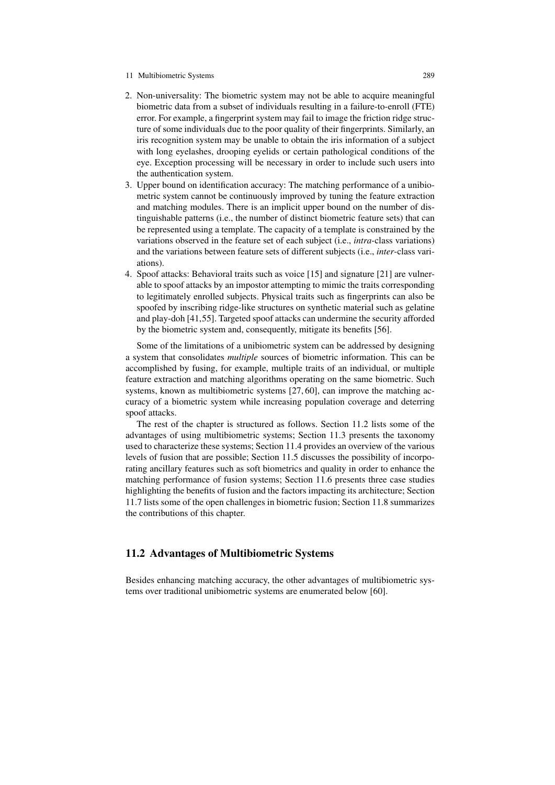- 2. Non-universality: The biometric system may not be able to acquire meaningful biometric data from a subset of individuals resulting in a failure-to-enroll (FTE) error. For example, a fingerprint system may fail to image the friction ridge structure of some individuals due to the poor quality of their fingerprints. Similarly, an iris recognition system may be unable to obtain the iris information of a subject with long eyelashes, drooping eyelids or certain pathological conditions of the eye. Exception processing will be necessary in order to include such users into the authentication system.
- 3. Upper bound on identification accuracy: The matching performance of a unibiometric system cannot be continuously improved by tuning the feature extraction and matching modules. There is an implicit upper bound on the number of distinguishable patterns (i.e., the number of distinct biometric feature sets) that can be represented using a template. The capacity of a template is constrained by the variations observed in the feature set of each subject (i.e., *intra*-class variations) and the variations between feature sets of different subjects (i.e., *inter*-class variations).
- 4. Spoof attacks: Behavioral traits such as voice [15] and signature [21] are vulnerable to spoof attacks by an impostor attempting to mimic the traits corresponding to legitimately enrolled subjects. Physical traits such as fingerprints can also be spoofed by inscribing ridge-like structures on synthetic material such as gelatine and play-doh [41,55]. Targeted spoof attacks can undermine the security afforded by the biometric system and, consequently, mitigate its benefits [56].

Some of the limitations of a unibiometric system can be addressed by designing a system that consolidates *multiple* sources of biometric information. This can be accomplished by fusing, for example, multiple traits of an individual, or multiple feature extraction and matching algorithms operating on the same biometric. Such systems, known as multibiometric systems [27, 60], can improve the matching accuracy of a biometric system while increasing population coverage and deterring spoof attacks.

The rest of the chapter is structured as follows. Section 11.2 lists some of the advantages of using multibiometric systems; Section 11.3 presents the taxonomy used to characterize these systems; Section 11.4 provides an overview of the various levels of fusion that are possible; Section 11.5 discusses the possibility of incorporating ancillary features such as soft biometrics and quality in order to enhance the matching performance of fusion systems; Section 11.6 presents three case studies highlighting the benefits of fusion and the factors impacting its architecture; Section 11.7 lists some of the open challenges in biometric fusion; Section 11.8 summarizes the contributions of this chapter.

### 11.2 Advantages of Multibiometric Systems

Besides enhancing matching accuracy, the other advantages of multibiometric systems over traditional unibiometric systems are enumerated below [60].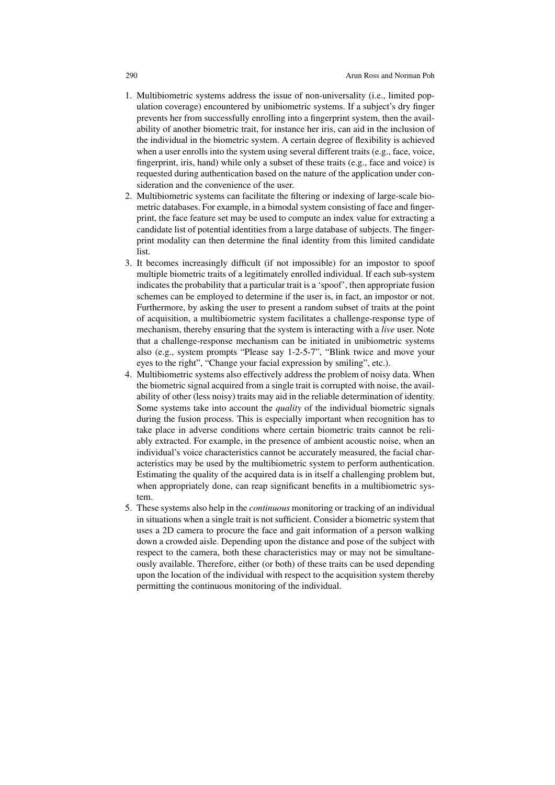- 1. Multibiometric systems address the issue of non-universality (i.e., limited population coverage) encountered by unibiometric systems. If a subject's dry finger prevents her from successfully enrolling into a fingerprint system, then the availability of another biometric trait, for instance her iris, can aid in the inclusion of the individual in the biometric system. A certain degree of flexibility is achieved when a user enrolls into the system using several different traits (e.g., face, voice, fingerprint, iris, hand) while only a subset of these traits (e.g., face and voice) is requested during authentication based on the nature of the application under consideration and the convenience of the user.
- 2. Multibiometric systems can facilitate the filtering or indexing of large-scale biometric databases. For example, in a bimodal system consisting of face and fingerprint, the face feature set may be used to compute an index value for extracting a candidate list of potential identities from a large database of subjects. The fingerprint modality can then determine the final identity from this limited candidate list.
- 3. It becomes increasingly difficult (if not impossible) for an impostor to spoof multiple biometric traits of a legitimately enrolled individual. If each sub-system indicates the probability that a particular trait is a 'spoof', then appropriate fusion schemes can be employed to determine if the user is, in fact, an impostor or not. Furthermore, by asking the user to present a random subset of traits at the point of acquisition, a multibiometric system facilitates a challenge-response type of mechanism, thereby ensuring that the system is interacting with a *live* user. Note that a challenge-response mechanism can be initiated in unibiometric systems also (e.g., system prompts "Please say 1-2-5-7", "Blink twice and move your eyes to the right", "Change your facial expression by smiling", etc.).
- 4. Multibiometric systems also effectively address the problem of noisy data. When the biometric signal acquired from a single trait is corrupted with noise, the availability of other (less noisy) traits may aid in the reliable determination of identity. Some systems take into account the *quality* of the individual biometric signals during the fusion process. This is especially important when recognition has to take place in adverse conditions where certain biometric traits cannot be reliably extracted. For example, in the presence of ambient acoustic noise, when an individual's voice characteristics cannot be accurately measured, the facial characteristics may be used by the multibiometric system to perform authentication. Estimating the quality of the acquired data is in itself a challenging problem but, when appropriately done, can reap significant benefits in a multibiometric system.
- 5. These systems also help in the *continuous* monitoring or tracking of an individual in situations when a single trait is not sufficient. Consider a biometric system that uses a 2D camera to procure the face and gait information of a person walking down a crowded aisle. Depending upon the distance and pose of the subject with respect to the camera, both these characteristics may or may not be simultaneously available. Therefore, either (or both) of these traits can be used depending upon the location of the individual with respect to the acquisition system thereby permitting the continuous monitoring of the individual.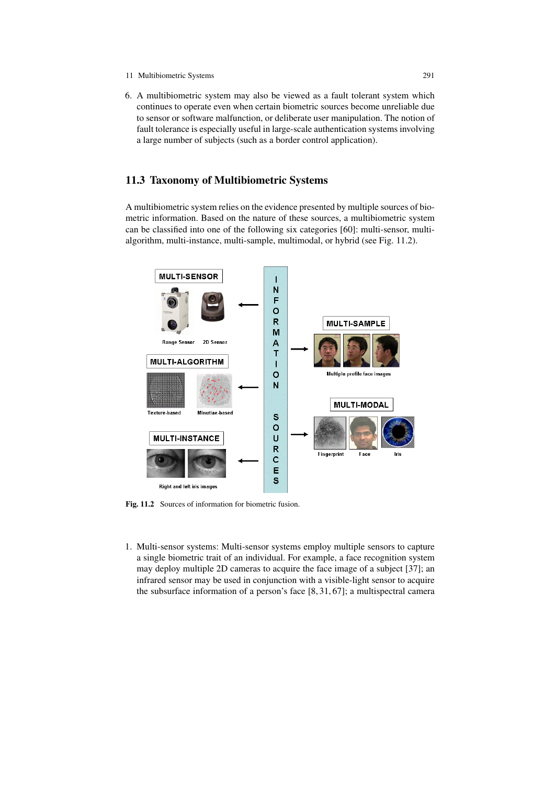- 11 Multibiometric Systems 291
- 6. A multibiometric system may also be viewed as a fault tolerant system which continues to operate even when certain biometric sources become unreliable due to sensor or software malfunction, or deliberate user manipulation. The notion of fault tolerance is especially useful in large-scale authentication systems involving a large number of subjects (such as a border control application).

# 11.3 Taxonomy of Multibiometric Systems

A multibiometric system relies on the evidence presented by multiple sources of biometric information. Based on the nature of these sources, a multibiometric system can be classified into one of the following six categories [60]: multi-sensor, multialgorithm, multi-instance, multi-sample, multimodal, or hybrid (see Fig. 11.2).



Fig. 11.2 Sources of information for biometric fusion.

1. Multi-sensor systems: Multi-sensor systems employ multiple sensors to capture a single biometric trait of an individual. For example, a face recognition system may deploy multiple 2D cameras to acquire the face image of a subject [37]; an infrared sensor may be used in conjunction with a visible-light sensor to acquire the subsurface information of a person's face [8, 31, 67]; a multispectral camera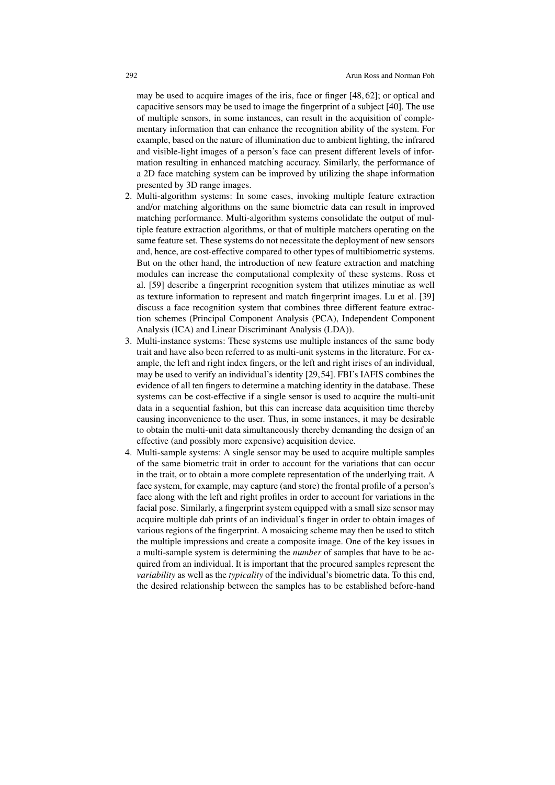may be used to acquire images of the iris, face or finger [48, 62]; or optical and capacitive sensors may be used to image the fingerprint of a subject [40]. The use of multiple sensors, in some instances, can result in the acquisition of complementary information that can enhance the recognition ability of the system. For example, based on the nature of illumination due to ambient lighting, the infrared and visible-light images of a person's face can present different levels of information resulting in enhanced matching accuracy. Similarly, the performance of a 2D face matching system can be improved by utilizing the shape information presented by 3D range images.

- 2. Multi-algorithm systems: In some cases, invoking multiple feature extraction and/or matching algorithms on the same biometric data can result in improved matching performance. Multi-algorithm systems consolidate the output of multiple feature extraction algorithms, or that of multiple matchers operating on the same feature set. These systems do not necessitate the deployment of new sensors and, hence, are cost-effective compared to other types of multibiometric systems. But on the other hand, the introduction of new feature extraction and matching modules can increase the computational complexity of these systems. Ross et al. [59] describe a fingerprint recognition system that utilizes minutiae as well as texture information to represent and match fingerprint images. Lu et al. [39] discuss a face recognition system that combines three different feature extraction schemes (Principal Component Analysis (PCA), Independent Component Analysis (ICA) and Linear Discriminant Analysis (LDA)).
- 3. Multi-instance systems: These systems use multiple instances of the same body trait and have also been referred to as multi-unit systems in the literature. For example, the left and right index fingers, or the left and right irises of an individual, may be used to verify an individual's identity [29,54]. FBI's IAFIS combines the evidence of all ten fingers to determine a matching identity in the database. These systems can be cost-effective if a single sensor is used to acquire the multi-unit data in a sequential fashion, but this can increase data acquisition time thereby causing inconvenience to the user. Thus, in some instances, it may be desirable to obtain the multi-unit data simultaneously thereby demanding the design of an effective (and possibly more expensive) acquisition device.
- 4. Multi-sample systems: A single sensor may be used to acquire multiple samples of the same biometric trait in order to account for the variations that can occur in the trait, or to obtain a more complete representation of the underlying trait. A face system, for example, may capture (and store) the frontal profile of a person's face along with the left and right profiles in order to account for variations in the facial pose. Similarly, a fingerprint system equipped with a small size sensor may acquire multiple dab prints of an individual's finger in order to obtain images of various regions of the fingerprint. A mosaicing scheme may then be used to stitch the multiple impressions and create a composite image. One of the key issues in a multi-sample system is determining the *number* of samples that have to be acquired from an individual. It is important that the procured samples represent the *variability* as well as the *typicality* of the individual's biometric data. To this end, the desired relationship between the samples has to be established before-hand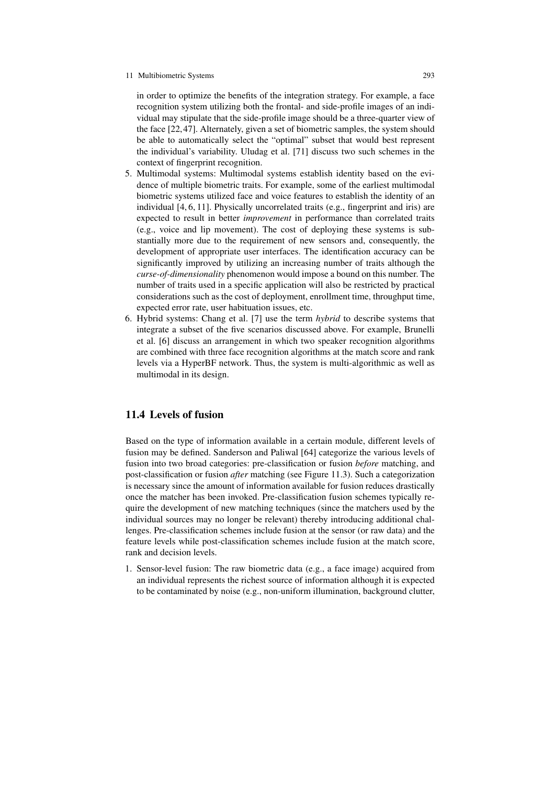in order to optimize the benefits of the integration strategy. For example, a face recognition system utilizing both the frontal- and side-profile images of an individual may stipulate that the side-profile image should be a three-quarter view of the face [22,47]. Alternately, given a set of biometric samples, the system should be able to automatically select the "optimal" subset that would best represent the individual's variability. Uludag et al. [71] discuss two such schemes in the context of fingerprint recognition.

- 5. Multimodal systems: Multimodal systems establish identity based on the evidence of multiple biometric traits. For example, some of the earliest multimodal biometric systems utilized face and voice features to establish the identity of an individual [4, 6, 11]. Physically uncorrelated traits (e.g., fingerprint and iris) are expected to result in better *improvement* in performance than correlated traits (e.g., voice and lip movement). The cost of deploying these systems is substantially more due to the requirement of new sensors and, consequently, the development of appropriate user interfaces. The identification accuracy can be significantly improved by utilizing an increasing number of traits although the *curse-of-dimensionality* phenomenon would impose a bound on this number. The number of traits used in a specific application will also be restricted by practical considerations such as the cost of deployment, enrollment time, throughput time, expected error rate, user habituation issues, etc.
- 6. Hybrid systems: Chang et al. [7] use the term *hybrid* to describe systems that integrate a subset of the five scenarios discussed above. For example, Brunelli et al. [6] discuss an arrangement in which two speaker recognition algorithms are combined with three face recognition algorithms at the match score and rank levels via a HyperBF network. Thus, the system is multi-algorithmic as well as multimodal in its design.

## 11.4 Levels of fusion

Based on the type of information available in a certain module, different levels of fusion may be defined. Sanderson and Paliwal [64] categorize the various levels of fusion into two broad categories: pre-classification or fusion *before* matching, and post-classification or fusion *after* matching (see Figure 11.3). Such a categorization is necessary since the amount of information available for fusion reduces drastically once the matcher has been invoked. Pre-classification fusion schemes typically require the development of new matching techniques (since the matchers used by the individual sources may no longer be relevant) thereby introducing additional challenges. Pre-classification schemes include fusion at the sensor (or raw data) and the feature levels while post-classification schemes include fusion at the match score, rank and decision levels.

1. Sensor-level fusion: The raw biometric data (e.g., a face image) acquired from an individual represents the richest source of information although it is expected to be contaminated by noise (e.g., non-uniform illumination, background clutter,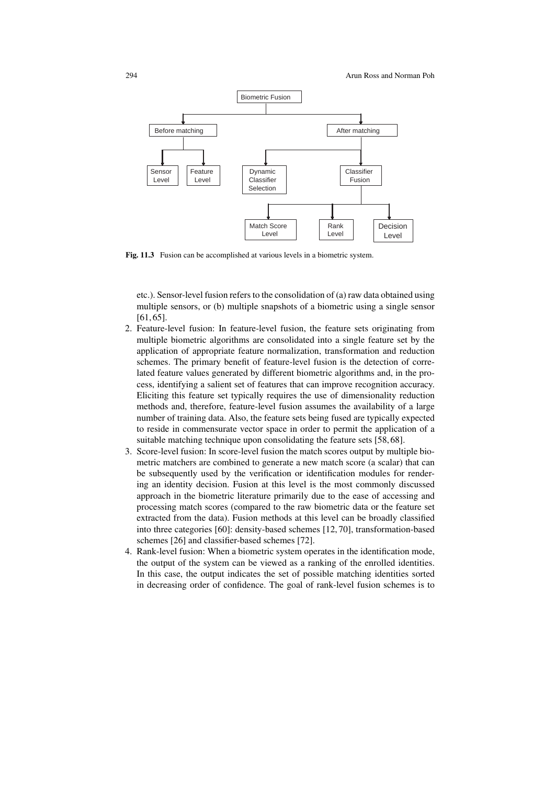

Fig. 11.3 Fusion can be accomplished at various levels in a biometric system.

etc.). Sensor-level fusion refers to the consolidation of (a) raw data obtained using multiple sensors, or (b) multiple snapshots of a biometric using a single sensor [61, 65].

- 2. Feature-level fusion: In feature-level fusion, the feature sets originating from multiple biometric algorithms are consolidated into a single feature set by the application of appropriate feature normalization, transformation and reduction schemes. The primary benefit of feature-level fusion is the detection of correlated feature values generated by different biometric algorithms and, in the process, identifying a salient set of features that can improve recognition accuracy. Eliciting this feature set typically requires the use of dimensionality reduction methods and, therefore, feature-level fusion assumes the availability of a large number of training data. Also, the feature sets being fused are typically expected to reside in commensurate vector space in order to permit the application of a suitable matching technique upon consolidating the feature sets [58,68].
- 3. Score-level fusion: In score-level fusion the match scores output by multiple biometric matchers are combined to generate a new match score (a scalar) that can be subsequently used by the verification or identification modules for rendering an identity decision. Fusion at this level is the most commonly discussed approach in the biometric literature primarily due to the ease of accessing and processing match scores (compared to the raw biometric data or the feature set extracted from the data). Fusion methods at this level can be broadly classified into three categories [60]: density-based schemes [12, 70], transformation-based schemes [26] and classifier-based schemes [72].
- 4. Rank-level fusion: When a biometric system operates in the identification mode, the output of the system can be viewed as a ranking of the enrolled identities. In this case, the output indicates the set of possible matching identities sorted in decreasing order of confidence. The goal of rank-level fusion schemes is to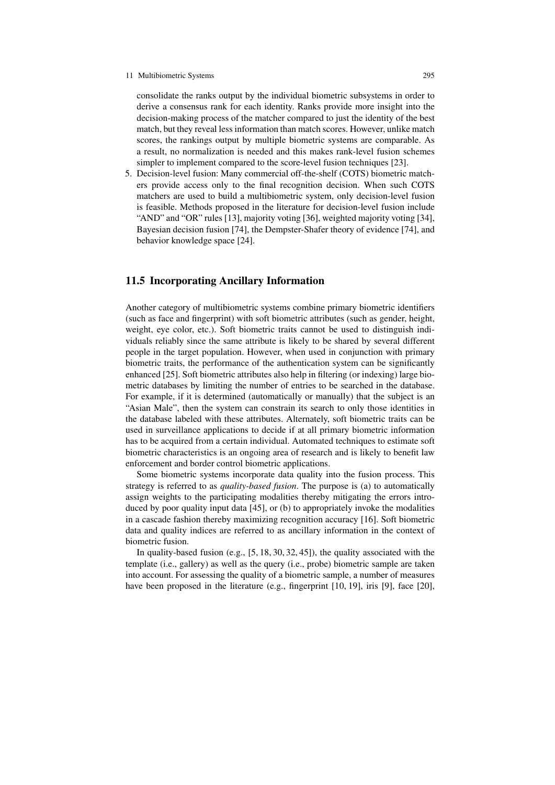consolidate the ranks output by the individual biometric subsystems in order to derive a consensus rank for each identity. Ranks provide more insight into the decision-making process of the matcher compared to just the identity of the best match, but they reveal less information than match scores. However, unlike match scores, the rankings output by multiple biometric systems are comparable. As a result, no normalization is needed and this makes rank-level fusion schemes simpler to implement compared to the score-level fusion techniques [23].

5. Decision-level fusion: Many commercial off-the-shelf (COTS) biometric matchers provide access only to the final recognition decision. When such COTS matchers are used to build a multibiometric system, only decision-level fusion is feasible. Methods proposed in the literature for decision-level fusion include "AND" and "OR" rules [13], majority voting [36], weighted majority voting [34], Bayesian decision fusion [74], the Dempster-Shafer theory of evidence [74], and behavior knowledge space [24].

# 11.5 Incorporating Ancillary Information

Another category of multibiometric systems combine primary biometric identifiers (such as face and fingerprint) with soft biometric attributes (such as gender, height, weight, eye color, etc.). Soft biometric traits cannot be used to distinguish individuals reliably since the same attribute is likely to be shared by several different people in the target population. However, when used in conjunction with primary biometric traits, the performance of the authentication system can be significantly enhanced [25]. Soft biometric attributes also help in filtering (or indexing) large biometric databases by limiting the number of entries to be searched in the database. For example, if it is determined (automatically or manually) that the subject is an "Asian Male", then the system can constrain its search to only those identities in the database labeled with these attributes. Alternately, soft biometric traits can be used in surveillance applications to decide if at all primary biometric information has to be acquired from a certain individual. Automated techniques to estimate soft biometric characteristics is an ongoing area of research and is likely to benefit law enforcement and border control biometric applications.

Some biometric systems incorporate data quality into the fusion process. This strategy is referred to as *quality-based fusion*. The purpose is (a) to automatically assign weights to the participating modalities thereby mitigating the errors introduced by poor quality input data [45], or (b) to appropriately invoke the modalities in a cascade fashion thereby maximizing recognition accuracy [16]. Soft biometric data and quality indices are referred to as ancillary information in the context of biometric fusion.

In quality-based fusion (e.g., [5, 18, 30, 32, 45]), the quality associated with the template (i.e., gallery) as well as the query (i.e., probe) biometric sample are taken into account. For assessing the quality of a biometric sample, a number of measures have been proposed in the literature (e.g., fingerprint [10, 19], iris [9], face [20],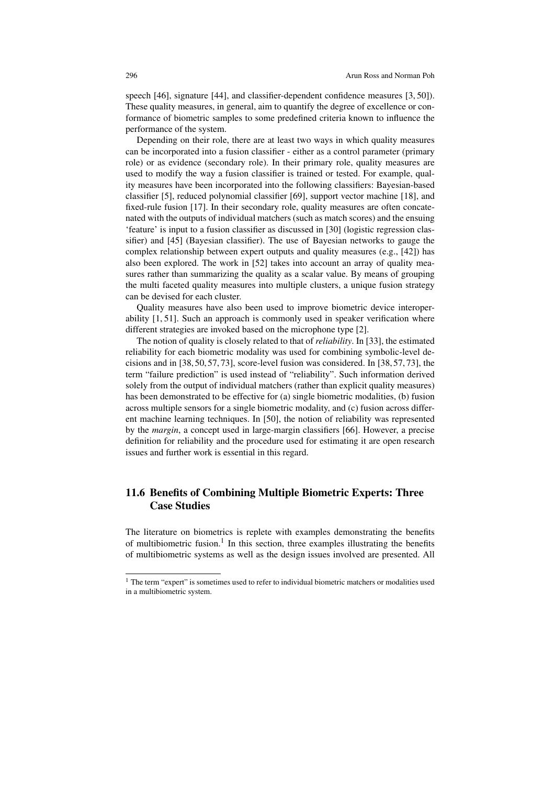speech [46], signature [44], and classifier-dependent confidence measures [3, 50]). These quality measures, in general, aim to quantify the degree of excellence or conformance of biometric samples to some predefined criteria known to influence the performance of the system.

Depending on their role, there are at least two ways in which quality measures can be incorporated into a fusion classifier - either as a control parameter (primary role) or as evidence (secondary role). In their primary role, quality measures are used to modify the way a fusion classifier is trained or tested. For example, quality measures have been incorporated into the following classifiers: Bayesian-based classifier [5], reduced polynomial classifier [69], support vector machine [18], and fixed-rule fusion [17]. In their secondary role, quality measures are often concatenated with the outputs of individual matchers (such as match scores) and the ensuing 'feature' is input to a fusion classifier as discussed in [30] (logistic regression classifier) and [45] (Bayesian classifier). The use of Bayesian networks to gauge the complex relationship between expert outputs and quality measures (e.g., [42]) has also been explored. The work in [52] takes into account an array of quality measures rather than summarizing the quality as a scalar value. By means of grouping the multi faceted quality measures into multiple clusters, a unique fusion strategy can be devised for each cluster.

Quality measures have also been used to improve biometric device interoperability [1, 51]. Such an approach is commonly used in speaker verification where different strategies are invoked based on the microphone type [2].

The notion of quality is closely related to that of *reliability*. In [33], the estimated reliability for each biometric modality was used for combining symbolic-level decisions and in [38, 50, 57, 73], score-level fusion was considered. In [38, 57, 73], the term "failure prediction" is used instead of "reliability". Such information derived solely from the output of individual matchers (rather than explicit quality measures) has been demonstrated to be effective for (a) single biometric modalities, (b) fusion across multiple sensors for a single biometric modality, and (c) fusion across different machine learning techniques. In [50], the notion of reliability was represented by the *margin*, a concept used in large-margin classifiers [66]. However, a precise definition for reliability and the procedure used for estimating it are open research issues and further work is essential in this regard.

# 11.6 Benefits of Combining Multiple Biometric Experts: Three Case Studies

The literature on biometrics is replete with examples demonstrating the benefits of multibiometric fusion.<sup>1</sup> In this section, three examples illustrating the benefits of multibiometric systems as well as the design issues involved are presented. All

<sup>&</sup>lt;sup>1</sup> The term "expert" is sometimes used to refer to individual biometric matchers or modalities used in a multibiometric system.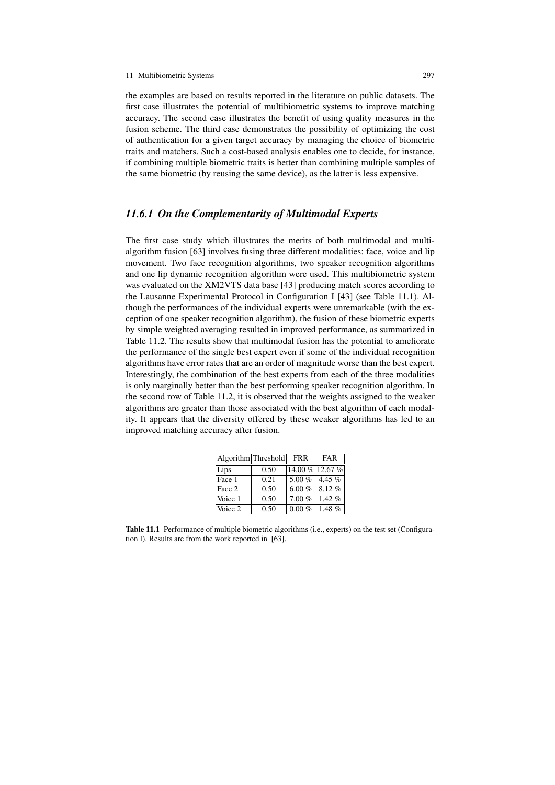the examples are based on results reported in the literature on public datasets. The first case illustrates the potential of multibiometric systems to improve matching accuracy. The second case illustrates the benefit of using quality measures in the fusion scheme. The third case demonstrates the possibility of optimizing the cost of authentication for a given target accuracy by managing the choice of biometric traits and matchers. Such a cost-based analysis enables one to decide, for instance, if combining multiple biometric traits is better than combining multiple samples of the same biometric (by reusing the same device), as the latter is less expensive.

# *11.6.1 On the Complementarity of Multimodal Experts*

The first case study which illustrates the merits of both multimodal and multialgorithm fusion [63] involves fusing three different modalities: face, voice and lip movement. Two face recognition algorithms, two speaker recognition algorithms and one lip dynamic recognition algorithm were used. This multibiometric system was evaluated on the XM2VTS data base [43] producing match scores according to the Lausanne Experimental Protocol in Configuration I [43] (see Table 11.1). Although the performances of the individual experts were unremarkable (with the exception of one speaker recognition algorithm), the fusion of these biometric experts by simple weighted averaging resulted in improved performance, as summarized in Table 11.2. The results show that multimodal fusion has the potential to ameliorate the performance of the single best expert even if some of the individual recognition algorithms have error rates that are an order of magnitude worse than the best expert. Interestingly, the combination of the best experts from each of the three modalities is only marginally better than the best performing speaker recognition algorithm. In the second row of Table 11.2, it is observed that the weights assigned to the weaker algorithms are greater than those associated with the best algorithm of each modality. It appears that the diversity offered by these weaker algorithms has led to an improved matching accuracy after fusion.

| Algorithm Threshold         |      | FRR             | FAR      |
|-----------------------------|------|-----------------|----------|
| Lips                        | 0.50 | 14.00 % 12.67 % |          |
| Face 1                      | 0.21 | $5.00\%$        | 4.45 $%$ |
| Face 2                      | 0.50 | $6.00\%$        | $8.12\%$ |
| $\overline{\text{Voice}}$ 1 | 0.50 | 7.00%           | $1.42\%$ |
| $\sqrt{1}$ Voice 2          | 0.50 | $0.00\%$        | $1.48\%$ |

Table 11.1 Performance of multiple biometric algorithms (i.e., experts) on the test set (Configuration I). Results are from the work reported in [63].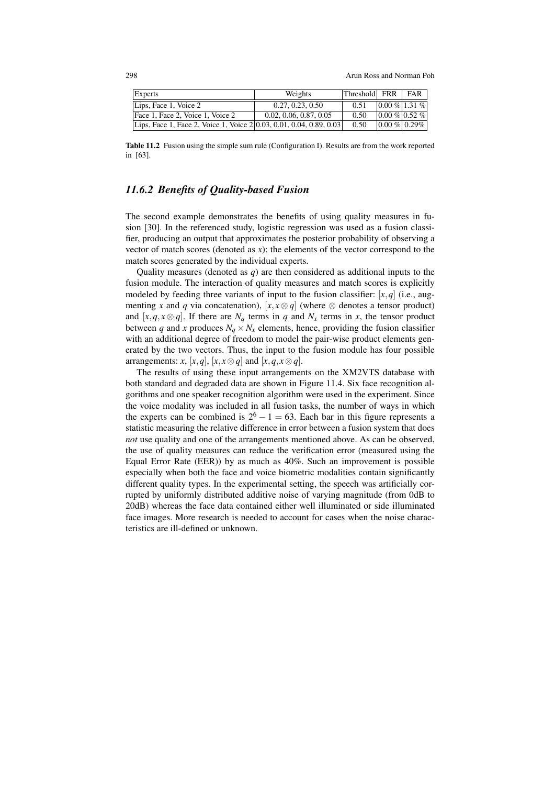| <b>Experts</b>                                                      | Weights                | Threshold FRR |                   | $ $ FAR $ $    |
|---------------------------------------------------------------------|------------------------|---------------|-------------------|----------------|
| Lips, Face 1, Voice 2                                               | 0.27, 0.23, 0.50       | 0.51          | $ 0.00\% 1.31\% $ |                |
| Face 1, Face 2, Voice 1, Voice 2                                    | 0.02, 0.06, 0.87, 0.05 | 0.50          |                   | $0.00\%$ 0.52% |
| Lips, Face 1, Face 2, Voice 1, Voice 2 0.03, 0.01, 0.04, 0.89, 0.03 |                        | 0.50          |                   | $0.00\%$ 0.29% |

Table 11.2 Fusion using the simple sum rule (Configuration I). Results are from the work reported in [63].

# *11.6.2 Benefits of Quality-based Fusion*

The second example demonstrates the benefits of using quality measures in fusion [30]. In the referenced study, logistic regression was used as a fusion classifier, producing an output that approximates the posterior probability of observing a vector of match scores (denoted as  $x$ ); the elements of the vector correspond to the match scores generated by the individual experts.

Quality measures (denoted as *q*) are then considered as additional inputs to the fusion module. The interaction of quality measures and match scores is explicitly modeled by feeding three variants of input to the fusion classifier:  $[x, q]$  (i.e., augmenting *x* and *q* via concatenation), [ $x, x \otimes q$ ] (where  $\otimes$  denotes a tensor product) and  $[x, q, x \otimes q]$ . If there are  $N_q$  terms in q and  $N_x$  terms in x, the tensor product between *q* and *x* produces  $N_q \times N_x$  elements, hence, providing the fusion classifier with an additional degree of freedom to model the pair-wise product elements generated by the two vectors. Thus, the input to the fusion module has four possible arrangements: *x*, [*x*,*q*], [*x*, *x*  $\otimes$  *q*] and [*x*, *q*, *x*  $\otimes$  *q*].

The results of using these input arrangements on the XM2VTS database with both standard and degraded data are shown in Figure 11.4. Six face recognition algorithms and one speaker recognition algorithm were used in the experiment. Since the voice modality was included in all fusion tasks, the number of ways in which the experts can be combined is  $2^6 - 1 = 63$ . Each bar in this figure represents a statistic measuring the relative difference in error between a fusion system that does *not* use quality and one of the arrangements mentioned above. As can be observed, the use of quality measures can reduce the verification error (measured using the Equal Error Rate (EER)) by as much as 40%. Such an improvement is possible especially when both the face and voice biometric modalities contain significantly different quality types. In the experimental setting, the speech was artificially corrupted by uniformly distributed additive noise of varying magnitude (from 0dB to 20dB) whereas the face data contained either well illuminated or side illuminated face images. More research is needed to account for cases when the noise characteristics are ill-defined or unknown.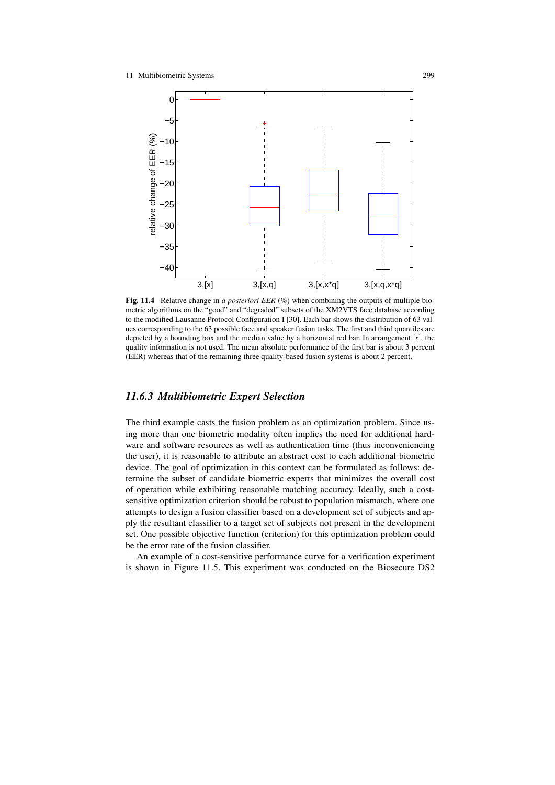

Fig. 11.4 Relative change in *a posteriori EER* (%) when combining the outputs of multiple biometric algorithms on the "good" and "degraded" subsets of the XM2VTS face database according to the modified Lausanne Protocol Configuration I [30]. Each bar shows the distribution of 63 values corresponding to the 63 possible face and speaker fusion tasks. The first and third quantiles are depicted by a bounding box and the median value by a horizontal red bar. In arrangement  $[x]$ , the quality information is not used. The mean absolute performance of the first bar is about 3 percent (EER) whereas that of the remaining three quality-based fusion systems is about 2 percent.

# *11.6.3 Multibiometric Expert Selection*

The third example casts the fusion problem as an optimization problem. Since using more than one biometric modality often implies the need for additional hardware and software resources as well as authentication time (thus inconveniencing the user), it is reasonable to attribute an abstract cost to each additional biometric device. The goal of optimization in this context can be formulated as follows: determine the subset of candidate biometric experts that minimizes the overall cost of operation while exhibiting reasonable matching accuracy. Ideally, such a costsensitive optimization criterion should be robust to population mismatch, where one attempts to design a fusion classifier based on a development set of subjects and apply the resultant classifier to a target set of subjects not present in the development set. One possible objective function (criterion) for this optimization problem could be the error rate of the fusion classifier.

An example of a cost-sensitive performance curve for a verification experiment is shown in Figure 11.5. This experiment was conducted on the Biosecure DS2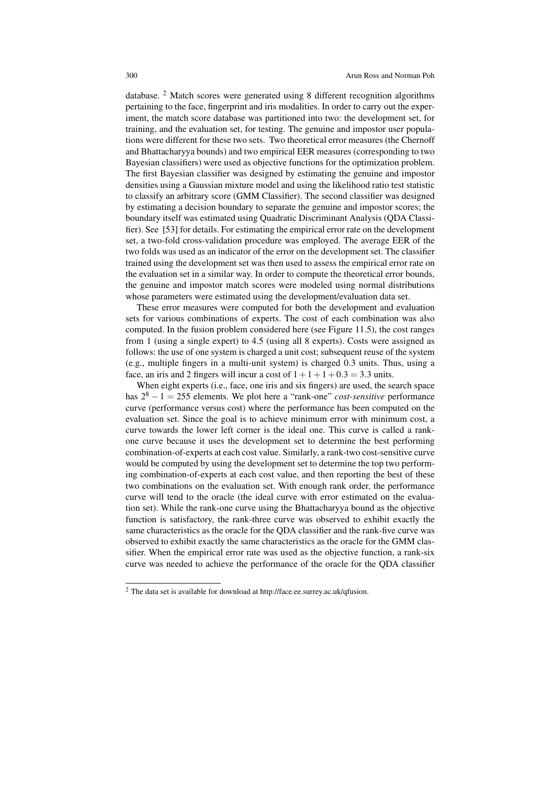database. <sup>2</sup> Match scores were generated using 8 different recognition algorithms pertaining to the face, fingerprint and iris modalities. In order to carry out the experiment, the match score database was partitioned into two: the development set, for training, and the evaluation set, for testing. The genuine and impostor user populations were different for these two sets. Two theoretical error measures (the Chernoff and Bhattacharyya bounds) and two empirical EER measures (corresponding to two Bayesian classifiers) were used as objective functions for the optimization problem. The first Bayesian classifier was designed by estimating the genuine and impostor densities using a Gaussian mixture model and using the likelihood ratio test statistic to classify an arbitrary score (GMM Classifier). The second classifier was designed by estimating a decision boundary to separate the genuine and impostor scores; the boundary itself was estimated using Quadratic Discriminant Analysis (QDA Classifier). See [53] for details. For estimating the empirical error rate on the development set, a two-fold cross-validation procedure was employed. The average EER of the two folds was used as an indicator of the error on the development set. The classifier trained using the development set was then used to assess the empirical error rate on the evaluation set in a similar way. In order to compute the theoretical error bounds, the genuine and impostor match scores were modeled using normal distributions whose parameters were estimated using the development/evaluation data set.

These error measures were computed for both the development and evaluation sets for various combinations of experts. The cost of each combination was also computed. In the fusion problem considered here (see Figure 11.5), the cost ranges from 1 (using a single expert) to 4.5 (using all 8 experts). Costs were assigned as follows: the use of one system is charged a unit cost; subsequent reuse of the system (e.g., multiple fingers in a multi-unit system) is charged 0.3 units. Thus, using a face, an iris and 2 fingers will incur a cost of  $1+1+1+0.3 = 3.3$  units.

When eight experts (i.e., face, one iris and six fingers) are used, the search space has 2<sup>8</sup> − 1 = 255 elements. We plot here a "rank-one" *cost-sensitive* performance curve (performance versus cost) where the performance has been computed on the evaluation set. Since the goal is to achieve minimum error with minimum cost, a curve towards the lower left corner is the ideal one. This curve is called a rankone curve because it uses the development set to determine the best performing combination-of-experts at each cost value. Similarly, a rank-two cost-sensitive curve would be computed by using the development set to determine the top two performing combination-of-experts at each cost value, and then reporting the best of these two combinations on the evaluation set. With enough rank order, the performance curve will tend to the oracle (the ideal curve with error estimated on the evaluation set). While the rank-one curve using the Bhattacharyya bound as the objective function is satisfactory, the rank-three curve was observed to exhibit exactly the same characteristics as the oracle for the QDA classifier and the rank-five curve was observed to exhibit exactly the same characteristics as the oracle for the GMM classifier. When the empirical error rate was used as the objective function, a rank-six curve was needed to achieve the performance of the oracle for the QDA classifier

<sup>2</sup> The data set is available for download at http://face.ee.surrey.ac.uk/qfusion.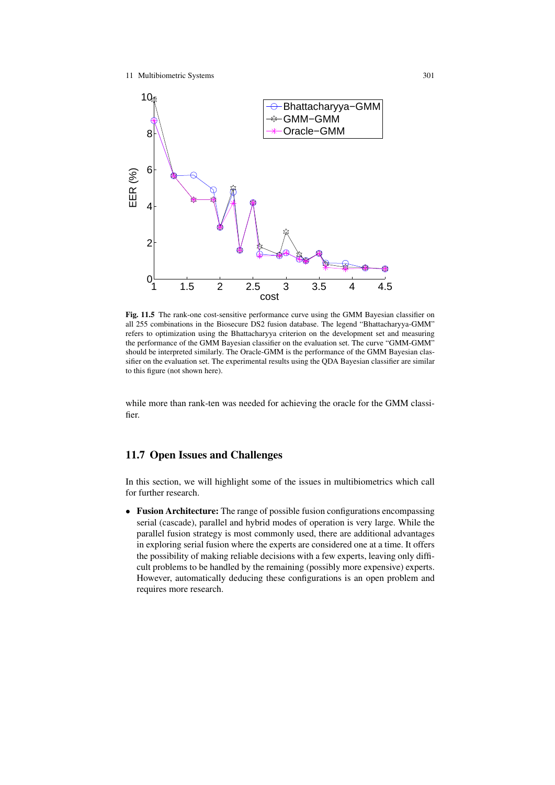

Fig. 11.5 The rank-one cost-sensitive performance curve using the GMM Bayesian classifier on all 255 combinations in the Biosecure DS2 fusion database. The legend "Bhattacharyya-GMM" refers to optimization using the Bhattacharyya criterion on the development set and measuring the performance of the GMM Bayesian classifier on the evaluation set. The curve "GMM-GMM" should be interpreted similarly. The Oracle-GMM is the performance of the GMM Bayesian classifier on the evaluation set. The experimental results using the QDA Bayesian classifier are similar to this figure (not shown here).

while more than rank-ten was needed for achieving the oracle for the GMM classifier.

# 11.7 Open Issues and Challenges

In this section, we will highlight some of the issues in multibiometrics which call for further research.

• Fusion Architecture: The range of possible fusion configurations encompassing serial (cascade), parallel and hybrid modes of operation is very large. While the parallel fusion strategy is most commonly used, there are additional advantages in exploring serial fusion where the experts are considered one at a time. It offers the possibility of making reliable decisions with a few experts, leaving only difficult problems to be handled by the remaining (possibly more expensive) experts. However, automatically deducing these configurations is an open problem and requires more research.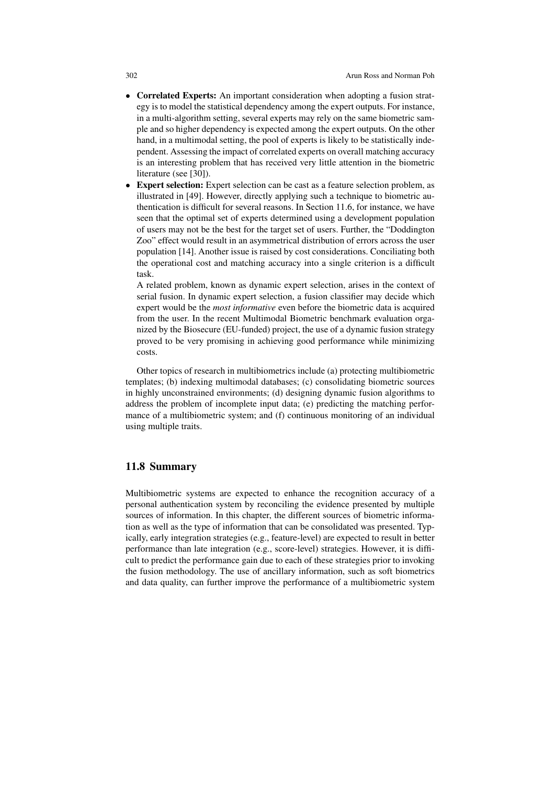- Correlated Experts: An important consideration when adopting a fusion strategy is to model the statistical dependency among the expert outputs. For instance, in a multi-algorithm setting, several experts may rely on the same biometric sample and so higher dependency is expected among the expert outputs. On the other hand, in a multimodal setting, the pool of experts is likely to be statistically independent. Assessing the impact of correlated experts on overall matching accuracy is an interesting problem that has received very little attention in the biometric literature (see [30]).
- **Expert selection:** Expert selection can be cast as a feature selection problem, as illustrated in [49]. However, directly applying such a technique to biometric authentication is difficult for several reasons. In Section 11.6, for instance, we have seen that the optimal set of experts determined using a development population of users may not be the best for the target set of users. Further, the "Doddington Zoo" effect would result in an asymmetrical distribution of errors across the user population [14]. Another issue is raised by cost considerations. Conciliating both the operational cost and matching accuracy into a single criterion is a difficult task.

A related problem, known as dynamic expert selection, arises in the context of serial fusion. In dynamic expert selection, a fusion classifier may decide which expert would be the *most informative* even before the biometric data is acquired from the user. In the recent Multimodal Biometric benchmark evaluation organized by the Biosecure (EU-funded) project, the use of a dynamic fusion strategy proved to be very promising in achieving good performance while minimizing costs.

Other topics of research in multibiometrics include (a) protecting multibiometric templates; (b) indexing multimodal databases; (c) consolidating biometric sources in highly unconstrained environments; (d) designing dynamic fusion algorithms to address the problem of incomplete input data; (e) predicting the matching performance of a multibiometric system; and (f) continuous monitoring of an individual using multiple traits.

# 11.8 Summary

Multibiometric systems are expected to enhance the recognition accuracy of a personal authentication system by reconciling the evidence presented by multiple sources of information. In this chapter, the different sources of biometric information as well as the type of information that can be consolidated was presented. Typically, early integration strategies (e.g., feature-level) are expected to result in better performance than late integration (e.g., score-level) strategies. However, it is difficult to predict the performance gain due to each of these strategies prior to invoking the fusion methodology. The use of ancillary information, such as soft biometrics and data quality, can further improve the performance of a multibiometric system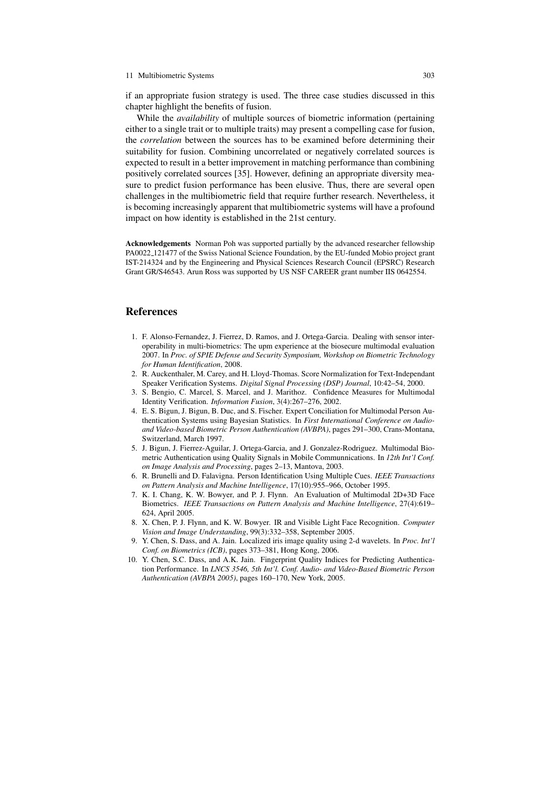if an appropriate fusion strategy is used. The three case studies discussed in this chapter highlight the benefits of fusion.

While the *availability* of multiple sources of biometric information (pertaining either to a single trait or to multiple traits) may present a compelling case for fusion, the *correlation* between the sources has to be examined before determining their suitability for fusion. Combining uncorrelated or negatively correlated sources is expected to result in a better improvement in matching performance than combining positively correlated sources [35]. However, defining an appropriate diversity measure to predict fusion performance has been elusive. Thus, there are several open challenges in the multibiometric field that require further research. Nevertheless, it is becoming increasingly apparent that multibiometric systems will have a profound impact on how identity is established in the 21st century.

Acknowledgements Norman Poh was supported partially by the advanced researcher fellowship PA0022 121477 of the Swiss National Science Foundation, by the EU-funded Mobio project grant IST-214324 and by the Engineering and Physical Sciences Research Council (EPSRC) Research Grant GR/S46543. Arun Ross was supported by US NSF CAREER grant number IIS 0642554.

# References

- 1. F. Alonso-Fernandez, J. Fierrez, D. Ramos, and J. Ortega-Garcia. Dealing with sensor interoperability in multi-biometrics: The upm experience at the biosecure multimodal evaluation 2007. In *Proc. of SPIE Defense and Security Symposium, Workshop on Biometric Technology for Human Identification*, 2008.
- 2. R. Auckenthaler, M. Carey, and H. Lloyd-Thomas. Score Normalization for Text-Independant Speaker Verification Systems. *Digital Signal Processing (DSP) Journal*, 10:42–54, 2000.
- 3. S. Bengio, C. Marcel, S. Marcel, and J. Marithoz. Confidence Measures for Multimodal Identity Verification. *Information Fusion*, 3(4):267–276, 2002.
- 4. E. S. Bigun, J. Bigun, B. Duc, and S. Fischer. Expert Conciliation for Multimodal Person Authentication Systems using Bayesian Statistics. In *First International Conference on Audioand Video-based Biometric Person Authentication (AVBPA)*, pages 291–300, Crans-Montana, Switzerland, March 1997.
- 5. J. Bigun, J. Fierrez-Aguilar, J. Ortega-Garcia, and J. Gonzalez-Rodriguez. Multimodal Biometric Authentication using Quality Signals in Mobile Communnications. In *12th Int'l Conf. on Image Analysis and Processing*, pages 2–13, Mantova, 2003.
- 6. R. Brunelli and D. Falavigna. Person Identification Using Multiple Cues. *IEEE Transactions on Pattern Analysis and Machine Intelligence*, 17(10):955–966, October 1995.
- 7. K. I. Chang, K. W. Bowyer, and P. J. Flynn. An Evaluation of Multimodal 2D+3D Face Biometrics. *IEEE Transactions on Pattern Analysis and Machine Intelligence*, 27(4):619– 624, April 2005.
- 8. X. Chen, P. J. Flynn, and K. W. Bowyer. IR and Visible Light Face Recognition. *Computer Vision and Image Understanding*, 99(3):332–358, September 2005.
- 9. Y. Chen, S. Dass, and A. Jain. Localized iris image quality using 2-d wavelets. In *Proc. Int'l Conf. on Biometrics (ICB)*, pages 373–381, Hong Kong, 2006.
- 10. Y. Chen, S.C. Dass, and A.K. Jain. Fingerprint Quality Indices for Predicting Authentication Performance. In *LNCS 3546, 5th Int'l. Conf. Audio- and Video-Based Biometric Person Authentication (AVBPA 2005)*, pages 160–170, New York, 2005.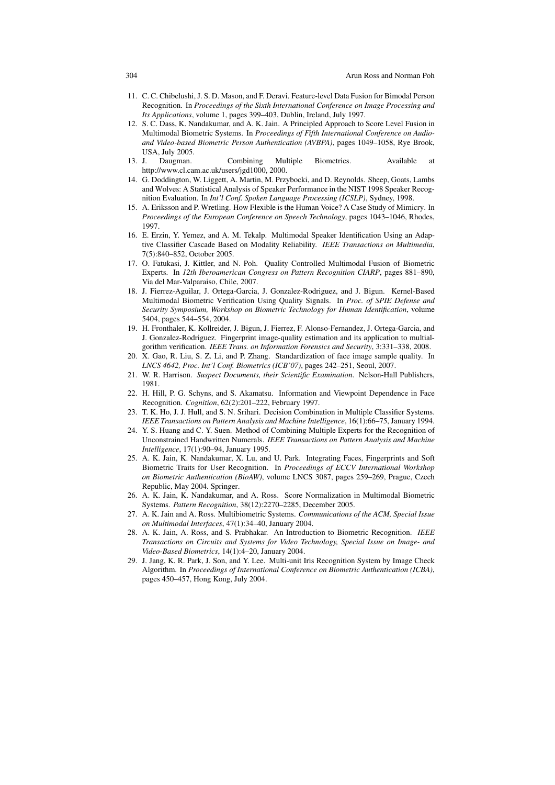- 11. C. C. Chibelushi, J. S. D. Mason, and F. Deravi. Feature-level Data Fusion for Bimodal Person Recognition. In *Proceedings of the Sixth International Conference on Image Processing and Its Applications*, volume 1, pages 399–403, Dublin, Ireland, July 1997.
- 12. S. C. Dass, K. Nandakumar, and A. K. Jain. A Principled Approach to Score Level Fusion in Multimodal Biometric Systems. In *Proceedings of Fifth International Conference on Audioand Video-based Biometric Person Authentication (AVBPA)*, pages 1049–1058, Rye Brook, USA, July 2005.
- 13. J. Daugman. Combining Multiple Biometrics. Available at http://www.cl.cam.ac.uk/users/jgd1000, 2000.
- 14. G. Doddington, W. Liggett, A. Martin, M. Przybocki, and D. Reynolds. Sheep, Goats, Lambs and Wolves: A Statistical Analysis of Speaker Performance in the NIST 1998 Speaker Recognition Evaluation. In *Int'l Conf. Spoken Language Processing (ICSLP)*, Sydney, 1998.
- 15. A. Eriksson and P. Wretling. How Flexible is the Human Voice? A Case Study of Mimicry. In *Proceedings of the European Conference on Speech Technology*, pages 1043–1046, Rhodes, 1997.
- 16. E. Erzin, Y. Yemez, and A. M. Tekalp. Multimodal Speaker Identification Using an Adaptive Classifier Cascade Based on Modality Reliability. *IEEE Transactions on Multimedia*, 7(5):840–852, October 2005.
- 17. O. Fatukasi, J. Kittler, and N. Poh. Quality Controlled Multimodal Fusion of Biometric Experts. In *12th Iberoamerican Congress on Pattern Recognition CIARP*, pages 881–890, Via del Mar-Valparaiso, Chile, 2007.
- 18. J. Fierrez-Aguilar, J. Ortega-Garcia, J. Gonzalez-Rodriguez, and J. Bigun. Kernel-Based Multimodal Biometric Verification Using Quality Signals. In *Proc. of SPIE Defense and Security Symposium, Workshop on Biometric Technology for Human Identification*, volume 5404, pages 544–554, 2004.
- 19. H. Fronthaler, K. Kollreider, J. Bigun, J. Fierrez, F. Alonso-Fernandez, J. Ortega-Garcia, and J. Gonzalez-Rodriguez. Fingerprint image-quality estimation and its application to multialgorithm verification. *IEEE Trans. on Information Forensics and Security*, 3:331–338, 2008.
- 20. X. Gao, R. Liu, S. Z. Li, and P. Zhang. Standardization of face image sample quality. In *LNCS 4642, Proc. Int'l Conf. Biometrics (ICB'07)*, pages 242–251, Seoul, 2007.
- 21. W. R. Harrison. *Suspect Documents, their Scientific Examination*. Nelson-Hall Publishers, 1981.
- 22. H. Hill, P. G. Schyns, and S. Akamatsu. Information and Viewpoint Dependence in Face Recognition. *Cognition*, 62(2):201–222, February 1997.
- 23. T. K. Ho, J. J. Hull, and S. N. Srihari. Decision Combination in Multiple Classifier Systems. *IEEE Transactions on Pattern Analysis and Machine Intelligence*, 16(1):66–75, January 1994.
- 24. Y. S. Huang and C. Y. Suen. Method of Combining Multiple Experts for the Recognition of Unconstrained Handwritten Numerals. *IEEE Transactions on Pattern Analysis and Machine Intelligence*, 17(1):90–94, January 1995.
- 25. A. K. Jain, K. Nandakumar, X. Lu, and U. Park. Integrating Faces, Fingerprints and Soft Biometric Traits for User Recognition. In *Proceedings of ECCV International Workshop on Biometric Authentication (BioAW)*, volume LNCS 3087, pages 259–269, Prague, Czech Republic, May 2004. Springer.
- 26. A. K. Jain, K. Nandakumar, and A. Ross. Score Normalization in Multimodal Biometric Systems. *Pattern Recognition*, 38(12):2270–2285, December 2005.
- 27. A. K. Jain and A. Ross. Multibiometric Systems. *Communications of the ACM, Special Issue on Multimodal Interfaces*, 47(1):34–40, January 2004.
- 28. A. K. Jain, A. Ross, and S. Prabhakar. An Introduction to Biometric Recognition. *IEEE Transactions on Circuits and Systems for Video Technology, Special Issue on Image- and Video-Based Biometrics*, 14(1):4–20, January 2004.
- 29. J. Jang, K. R. Park, J. Son, and Y. Lee. Multi-unit Iris Recognition System by Image Check Algorithm. In *Proceedings of International Conference on Biometric Authentication (ICBA)*, pages 450–457, Hong Kong, July 2004.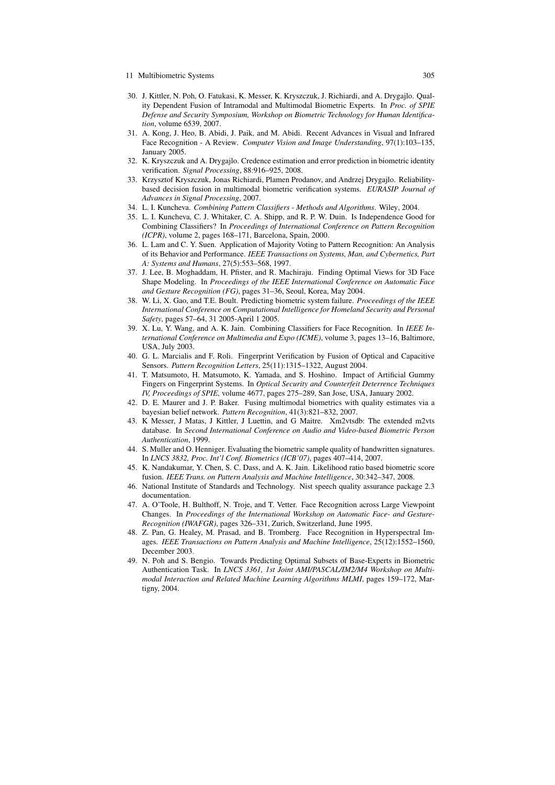- 30. J. Kittler, N. Poh, O. Fatukasi, K. Messer, K. Kryszczuk, J. Richiardi, and A. Drygajlo. Quality Dependent Fusion of Intramodal and Multimodal Biometric Experts. In *Proc. of SPIE Defense and Security Symposium, Workshop on Biometric Technology for Human Identification*, volume 6539, 2007.
- 31. A. Kong, J. Heo, B. Abidi, J. Paik, and M. Abidi. Recent Advances in Visual and Infrared Face Recognition - A Review. *Computer Vision and Image Understanding*, 97(1):103–135, January 2005.
- 32. K. Kryszczuk and A. Drygajlo. Credence estimation and error prediction in biometric identity verification. *Signal Processing*, 88:916–925, 2008.
- 33. Krzysztof Kryszczuk, Jonas Richiardi, Plamen Prodanov, and Andrzej Drygajlo. Reliabilitybased decision fusion in multimodal biometric verification systems. *EURASIP Journal of Advances in Signal Processing*, 2007.
- 34. L. I. Kuncheva. *Combining Pattern Classifiers Methods and Algorithms*. Wiley, 2004.
- 35. L. I. Kuncheva, C. J. Whitaker, C. A. Shipp, and R. P. W. Duin. Is Independence Good for Combining Classifiers? In *Proceedings of International Conference on Pattern Recognition (ICPR)*, volume 2, pages 168–171, Barcelona, Spain, 2000.
- 36. L. Lam and C. Y. Suen. Application of Majority Voting to Pattern Recognition: An Analysis of its Behavior and Performance. *IEEE Transactions on Systems, Man, and Cybernetics, Part A: Systems and Humans*, 27(5):553–568, 1997.
- 37. J. Lee, B. Moghaddam, H. Pfister, and R. Machiraju. Finding Optimal Views for 3D Face Shape Modeling. In *Proceedings of the IEEE International Conference on Automatic Face and Gesture Recognition (FG)*, pages 31–36, Seoul, Korea, May 2004.
- 38. W. Li, X. Gao, and T.E. Boult. Predicting biometric system failure. *Proceedings of the IEEE International Conference on Computational Intelligence for Homeland Security and Personal Safety*, pages 57–64, 31 2005-April 1 2005.
- 39. X. Lu, Y. Wang, and A. K. Jain. Combining Classifiers for Face Recognition. In *IEEE International Conference on Multimedia and Expo (ICME)*, volume 3, pages 13–16, Baltimore, USA, July 2003.
- 40. G. L. Marcialis and F. Roli. Fingerprint Verification by Fusion of Optical and Capacitive Sensors. *Pattern Recognition Letters*, 25(11):1315–1322, August 2004.
- 41. T. Matsumoto, H. Matsumoto, K. Yamada, and S. Hoshino. Impact of Artificial Gummy Fingers on Fingerprint Systems. In *Optical Security and Counterfeit Deterrence Techniques IV, Proceedings of SPIE*, volume 4677, pages 275–289, San Jose, USA, January 2002.
- 42. D. E. Maurer and J. P. Baker. Fusing multimodal biometrics with quality estimates via a bayesian belief network. *Pattern Recognition*, 41(3):821–832, 2007.
- 43. K Messer, J Matas, J Kittler, J Luettin, and G Maitre. Xm2vtsdb: The extended m2vts database. In *Second International Conference on Audio and Video-based Biometric Person Authentication*, 1999.
- 44. S. Muller and O. Henniger. Evaluating the biometric sample quality of handwritten signatures. In *LNCS 3832, Proc. Int'l Conf. Biometrics (ICB'07)*, pages 407–414, 2007.
- 45. K. Nandakumar, Y. Chen, S. C. Dass, and A. K. Jain. Likelihood ratio based biometric score fusion. *IEEE Trans. on Pattern Analysis and Machine Intelligence*, 30:342–347, 2008.
- 46. National Institute of Standards and Technology. Nist speech quality assurance package 2.3 documentation.
- 47. A. O'Toole, H. Bulthoff, N. Troje, and T. Vetter. Face Recognition across Large Viewpoint Changes. In *Proceedings of the International Workshop on Automatic Face- and Gesture-Recognition (IWAFGR)*, pages 326–331, Zurich, Switzerland, June 1995.
- 48. Z. Pan, G. Healey, M. Prasad, and B. Tromberg. Face Recognition in Hyperspectral Images. *IEEE Transactions on Pattern Analysis and Machine Intelligence*, 25(12):1552–1560, December 2003.
- 49. N. Poh and S. Bengio. Towards Predicting Optimal Subsets of Base-Experts in Biometric Authentication Task. In *LNCS 3361, 1st Joint AMI/PASCAL/IM2/M4 Workshop on Multimodal Interaction and Related Machine Learning Algorithms MLMI*, pages 159–172, Martigny, 2004.

<sup>11</sup> Multibiometric Systems 305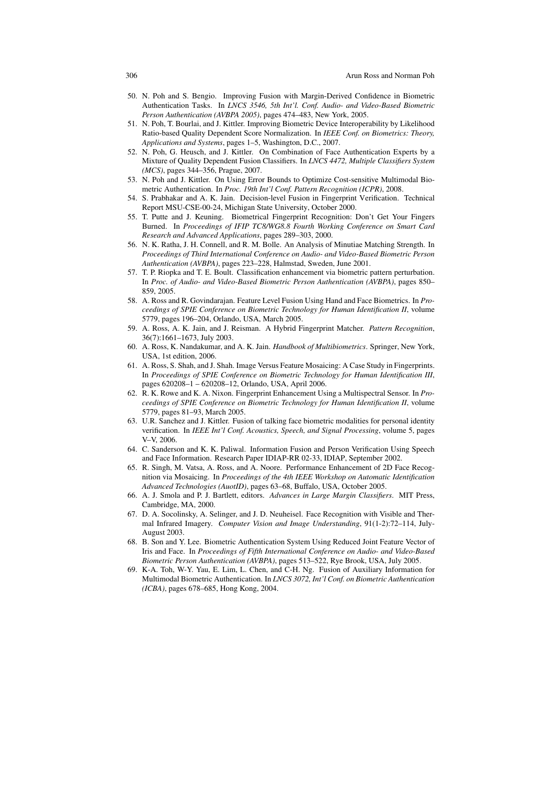- 50. N. Poh and S. Bengio. Improving Fusion with Margin-Derived Confidence in Biometric Authentication Tasks. In *LNCS 3546, 5th Int'l. Conf. Audio- and Video-Based Biometric Person Authentication (AVBPA 2005)*, pages 474–483, New York, 2005.
- 51. N. Poh, T. Bourlai, and J. Kittler. Improving Biometric Device Interoperability by Likelihood Ratio-based Quality Dependent Score Normalization. In *IEEE Conf. on Biometrics: Theory, Applications and Systems*, pages 1–5, Washington, D.C., 2007.
- 52. N. Poh, G. Heusch, and J. Kittler. On Combination of Face Authentication Experts by a Mixture of Quality Dependent Fusion Classifiers. In *LNCS 4472, Multiple Classifiers System (MCS)*, pages 344–356, Prague, 2007.
- 53. N. Poh and J. Kittler. On Using Error Bounds to Optimize Cost-sensitive Multimodal Biometric Authentication. In *Proc. 19th Int'l Conf. Pattern Recognition (ICPR)*, 2008.
- 54. S. Prabhakar and A. K. Jain. Decision-level Fusion in Fingerprint Verification. Technical Report MSU-CSE-00-24, Michigan State University, October 2000.
- 55. T. Putte and J. Keuning. Biometrical Fingerprint Recognition: Don't Get Your Fingers Burned. In *Proceedings of IFIP TC8/WG8.8 Fourth Working Conference on Smart Card Research and Advanced Applications*, pages 289–303, 2000.
- 56. N. K. Ratha, J. H. Connell, and R. M. Bolle. An Analysis of Minutiae Matching Strength. In *Proceedings of Third International Conference on Audio- and Video-Based Biometric Person Authentication (AVBPA)*, pages 223–228, Halmstad, Sweden, June 2001.
- 57. T. P. Riopka and T. E. Boult. Classification enhancement via biometric pattern perturbation. In *Proc. of Audio- and Video-Based Biometric Person Authentication (AVBPA)*, pages 850– 859, 2005.
- 58. A. Ross and R. Govindarajan. Feature Level Fusion Using Hand and Face Biometrics. In *Proceedings of SPIE Conference on Biometric Technology for Human Identification II*, volume 5779, pages 196–204, Orlando, USA, March 2005.
- 59. A. Ross, A. K. Jain, and J. Reisman. A Hybrid Fingerprint Matcher. *Pattern Recognition*, 36(7):1661–1673, July 2003.
- 60. A. Ross, K. Nandakumar, and A. K. Jain. *Handbook of Multibiometrics*. Springer, New York, USA, 1st edition, 2006.
- 61. A. Ross, S. Shah, and J. Shah. Image Versus Feature Mosaicing: A Case Study in Fingerprints. In *Proceedings of SPIE Conference on Biometric Technology for Human Identification III*, pages 620208–1 – 620208–12, Orlando, USA, April 2006.
- 62. R. K. Rowe and K. A. Nixon. Fingerprint Enhancement Using a Multispectral Sensor. In *Proceedings of SPIE Conference on Biometric Technology for Human Identification II*, volume 5779, pages 81–93, March 2005.
- 63. U.R. Sanchez and J. Kittler. Fusion of talking face biometric modalities for personal identity verification. In *IEEE Int'l Conf. Acoustics, Speech, and Signal Processing*, volume 5, pages V–V, 2006.
- 64. C. Sanderson and K. K. Paliwal. Information Fusion and Person Verification Using Speech and Face Information. Research Paper IDIAP-RR 02-33, IDIAP, September 2002.
- 65. R. Singh, M. Vatsa, A. Ross, and A. Noore. Performance Enhancement of 2D Face Recognition via Mosaicing. In *Proceedings of the 4th IEEE Workshop on Automatic Identification Advanced Technologies (AuotID)*, pages 63–68, Buffalo, USA, October 2005.
- 66. A. J. Smola and P. J. Bartlett, editors. *Advances in Large Margin Classifiers*. MIT Press, Cambridge, MA, 2000.
- 67. D. A. Socolinsky, A. Selinger, and J. D. Neuheisel. Face Recognition with Visible and Thermal Infrared Imagery. *Computer Vision and Image Understanding*, 91(1-2):72–114, July-August 2003.
- 68. B. Son and Y. Lee. Biometric Authentication System Using Reduced Joint Feature Vector of Iris and Face. In *Proceedings of Fifth International Conference on Audio- and Video-Based Biometric Person Authentication (AVBPA)*, pages 513–522, Rye Brook, USA, July 2005.
- 69. K-A. Toh, W-Y. Yau, E. Lim, L. Chen, and C-H. Ng. Fusion of Auxiliary Information for Multimodal Biometric Authentication. In *LNCS 3072, Int'l Conf. on Biometric Authentication (ICBA)*, pages 678–685, Hong Kong, 2004.